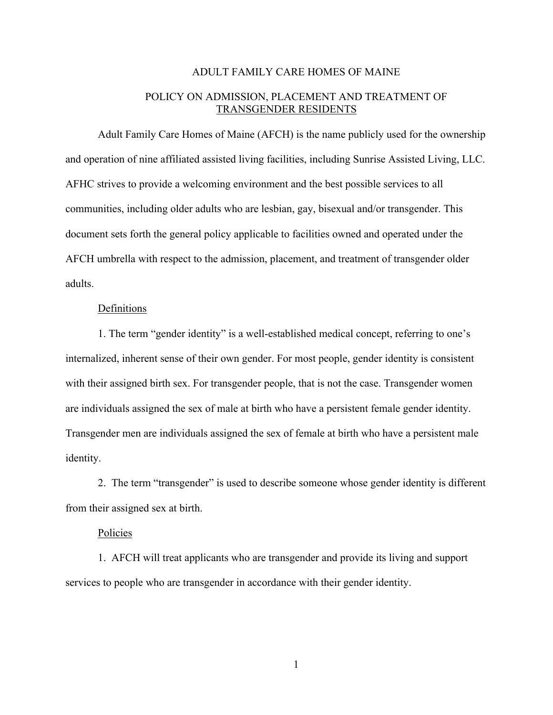## ADULT FAMILY CARE HOMES OF MAINE

## POLICY ON ADMISSION, PLACEMENT AND TREATMENT OF TRANSGENDER RESIDENTS

Adult Family Care Homes of Maine (AFCH) is the name publicly used for the ownership and operation of nine affiliated assisted living facilities, including Sunrise Assisted Living, LLC. AFHC strives to provide a welcoming environment and the best possible services to all communities, including older adults who are lesbian, gay, bisexual and/or transgender. This document sets forth the general policy applicable to facilities owned and operated under the AFCH umbrella with respect to the admission, placement, and treatment of transgender older adults.

## Definitions

1. The term "gender identity" is a well-established medical concept, referring to one's internalized, inherent sense of their own gender. For most people, gender identity is consistent with their assigned birth sex. For transgender people, that is not the case. Transgender women are individuals assigned the sex of male at birth who have a persistent female gender identity. Transgender men are individuals assigned the sex of female at birth who have a persistent male identity.

2. The term "transgender" is used to describe someone whose gender identity is different from their assigned sex at birth.

## Policies

1. AFCH will treat applicants who are transgender and provide its living and support services to people who are transgender in accordance with their gender identity.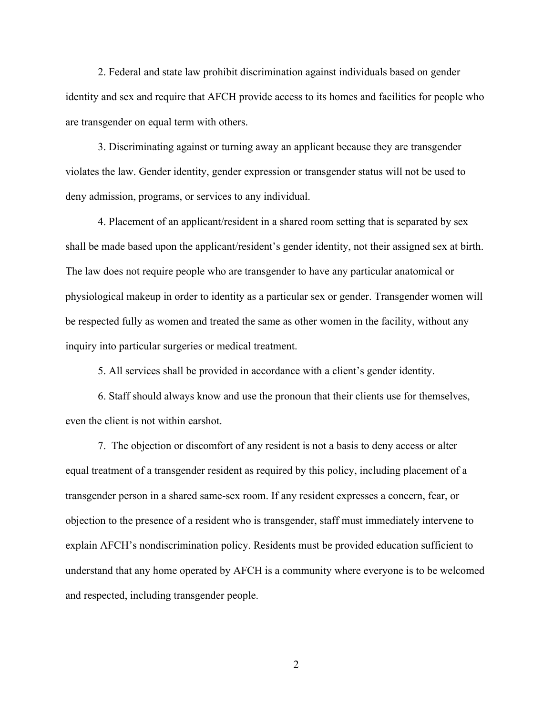2. Federal and state law prohibit discrimination against individuals based on gender identity and sex and require that AFCH provide access to its homes and facilities for people who are transgender on equal term with others.

3. Discriminating against or turning away an applicant because they are transgender violates the law. Gender identity, gender expression or transgender status will not be used to deny admission, programs, or services to any individual.

4. Placement of an applicant/resident in a shared room setting that is separated by sex shall be made based upon the applicant/resident's gender identity, not their assigned sex at birth. The law does not require people who are transgender to have any particular anatomical or physiological makeup in order to identity as a particular sex or gender. Transgender women will be respected fully as women and treated the same as other women in the facility, without any inquiry into particular surgeries or medical treatment.

5. All services shall be provided in accordance with a client's gender identity.

6. Staff should always know and use the pronoun that their clients use for themselves, even the client is not within earshot.

7. The objection or discomfort of any resident is not a basis to deny access or alter equal treatment of a transgender resident as required by this policy, including placement of a transgender person in a shared same-sex room. If any resident expresses a concern, fear, or objection to the presence of a resident who is transgender, staff must immediately intervene to explain AFCH's nondiscrimination policy. Residents must be provided education sufficient to understand that any home operated by AFCH is a community where everyone is to be welcomed and respected, including transgender people.

2